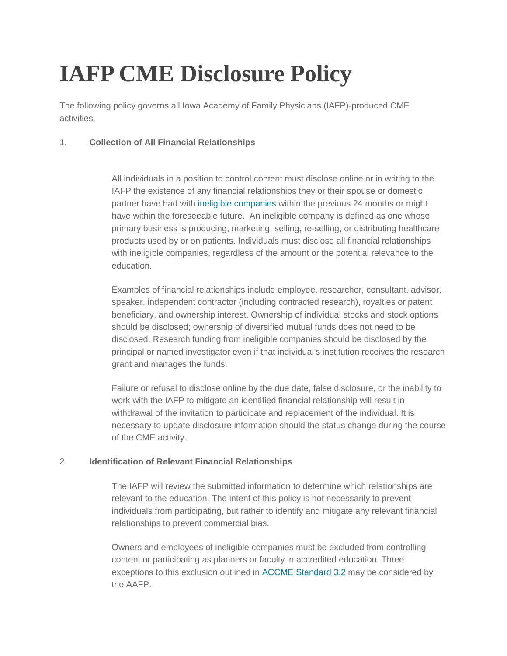# **IAFP CME Disclosure Policy**

The following policy governs all Iowa Academy of Family Physicians (IAFP)-produced CME activities.

## 1. **Collection of All Financial Relationships**

All individuals in a position to control content must disclose online or in writing to the IAFP the existence of any financial relationships they or their spouse or domestic partner have had with [ineligible companies](https://accme.org/faq/what-accmes-definition-ineligible-company) within the previous 24 months or might have within the foreseeable future. An ineligible company is defined as one whose primary business is producing, marketing, selling, re-selling, or distributing healthcare products used by or on patients. Individuals must disclose all financial relationships with ineligible companies, regardless of the amount or the potential relevance to the education.

Examples of financial relationships include employee, researcher, consultant, advisor, speaker, independent contractor (including contracted research), royalties or patent beneficiary, and ownership interest. Ownership of individual stocks and stock options should be disclosed; ownership of diversified mutual funds does not need to be disclosed. Research funding from ineligible companies should be disclosed by the principal or named investigator even if that individual's institution receives the research grant and manages the funds.

Failure or refusal to disclose online by the due date, false disclosure, or the inability to work with the IAFP to mitigate an identified financial relationship will result in withdrawal of the invitation to participate and replacement of the individual. It is necessary to update disclosure information should the status change during the course of the CME activity.

### 2. **Identification of Relevant Financial Relationships**

The IAFP will review the submitted information to determine which relationships are relevant to the education. The intent of this policy is not necessarily to prevent individuals from participating, but rather to identify and mitigate any relevant financial relationships to prevent commercial bias.

Owners and employees of ineligible companies must be excluded from controlling content or participating as planners or faculty in accredited education. Three exceptions to this exclusion outlined in [ACCME Standard 3.2](https://www.accme.org/accreditation-rules/standard-3-identify-mitigate-and-disclose-relevant-financial-relationships) may be considered by the AAFP.